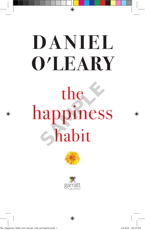## **DANIEL O'LEARY**

## the  $\vee$ happiness habit the<br> **Shabit**



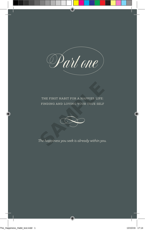Part one

# The First Habit for a Happier Life: Finding and Loving your True Self THE FIRST HABIT FOR A HAPPIER LIFE:<br>FINDING AND LOVING YOUR TRUE SELF<br>SAMPLOVING YOUR TRUE SELF<br>The happiness you seek is already within yo



*The happiness you seek is already within you.*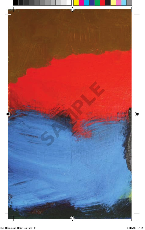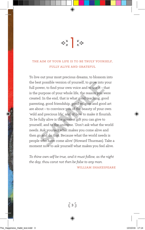### <sup>ሖ</sup> **1** <sup>ሗ</sup>

#### THE AIM OF YOUR LIFE IS TO BE TRULY YOURSELF. fully alive and grateful

To live out your most precious dreams, to blossom into the best possible version of yourself, to grow into your full power, to find your own voice and to use it–that is the purpose of your whole life, the reason you were created. In the end, that is what good teaching, good parenting, good friendship, good religion and good art are about–to convince you of the beauty of your own 'wild and precious life', and of how to make it flourish. To be fully alive is the greatest gift you can give to yourself, and to the universe. 'Don't ask what the world needs. Ask yourself what makes you come alive and then go and do that. Because what the world needs is people who have come alive' (Howard Thurman). Take a moment now to ask yourself what makes you feel alive. st possible version of yourself, to grow into<br>wer, to find your own voice and to use it –<br>purpose of your whole life, the reason you<br>d. In the end, that is what good teaching, go<br>ing, good friendship, good religion and goo

*To thine own self be true, and it must follow, as the night the day, thou canst not then be false to any man.*

WILLIAM SHAKESPEARE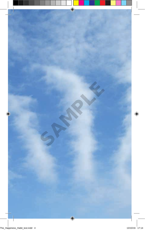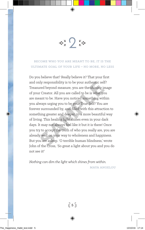### <sup>ሖ</sup> **2** <sup>ሗ</sup>

### Become who you are meant to be; it is the ultimate goal of your life – no more, no less

Do you believe that? Really believe it? That your first and only responsibility is to be your authentic self? Treasured beyond measure, you are the shining image of your Creator. All you are called to be is what you are meant to be. Have you noticed something within you always urging you to be your True Self? You are forever surrounded by, and filled with this attraction to something greater and deeper, to a more beautiful way of living. This healing light shines even in your dark days. It may not always feel like it but it is there! Once you try to accept the truth of who you really are, you are already well on your way to wholeness and happiness. But you are asleep. 'O terrible human blindness,' wrote John of the Cross, 'So great a light about you and you do not see it!' In the selection of the Cross.<br>Separation of the Cross.<br>The Creator All you are called to be is what year<br>and to be. Have you noticed something with ways urging you to be your True Self? You are raurrounded by, and filled

*Nothing can dim the light which shines from within.* MAYA ANGELOU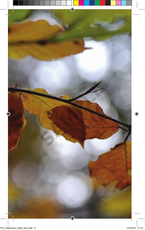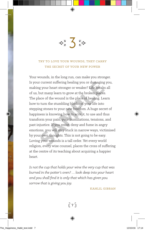### <sup>ሖ</sup> **3** <sup>ሗ</sup>

#### Try to love your wounds; they carry the secret of your new power

Your wounds, in the long run, can make you stronger. Is your current suffering healing you or damaging you, making your heart stronger or weaker? Life breaks all of us, but many learn to grow at the broken places. The place of the wound is the place of healing. Learn how to turn the stumbling blocks of your life into stepping stones to your new freedom. A huge secret of happiness is knowing how to accept, to use and thus transform your pain, your humiliations, tensions, and past injustice. If you resist, deny and fume in angry emotions, you will stay stuck in narrow ways, victimised by your own thoughts. This is not going to be easy. Loving your wounds is a tall order. Yet every world religion, every wise counsel, places the cross of suffering at the centre of its teaching about acquiring a happier heart. g your heart stronger or weaker? Life break<br>g your heart stronger or weaker? Life break<br>but many learn to grow at the broken place<br>ace of the wound is the place of healing. Le<br>b turn the stumbling blocks of your life into<br>

*Is not the cup that holds your wine the very cup that was burned in the potter's oven? … look deep into your heart and you shall find it is only that which has given you sorrow that is giving you joy.*

#### Kahlil Gibran

 $27$